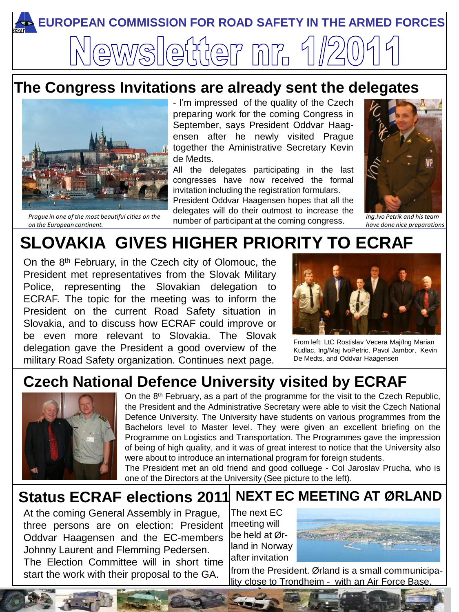

## **The Congress Invitations are already sent the delegates**



*Prague in one of the most beautiful cities on the on the European continent.*

- I'm impressed of the quality of the Czech preparing work for the coming Congress in September, says President Oddvar Haagensen after he newly visited Prague together the Aministrative Secretary Kevin de Medts.

All the delegates participating in the last congresses have now received the formal invitation including the registration formulars. President Oddvar Haagensen hopes that all the delegates will do their outmost to increase the

number of participant at the coming congress.



*Ing.Ivo Petrík and his team have done nice preparations*

# **SLOVAKIA GIVES HIGHER PRIORITY TO ECRAF**

On the 8<sup>th</sup> February, in the Czech city of Olomouc, the President met representatives from the Slovak Military Police, representing the Slovakian [delegation](http://www.google.no/imgres?imgurl=http://www.voyages-photos.fr/images/prague/prague02.jpg&imgrefurl=http://www.voyages-photos.fr/prague/prague1.htm&h=375&w=500&sz=58&tbnid=WDizfmmyiy0I2M:&tbnh=98&tbnw=130&prev=/images%3Fq%3Dprague%2Bpictures&zoom=1&q=prague+pictures&hl=no&usg=__lhI62lqwlCKA0uY_c1X7dUxshhc=&sa=X&ei=aLPbTMy2PMmgOsDi6cIJ&ved=0CB0Q9QEwAQ) to ECRAF. The topic for the meeting was to inform the President on the current Road Safety situation in Slovakia, and to discuss how ECRAF could improve or be even more relevant to Slovakia. The Slovak delegation gave the President a good overview of the military Road Safety organization. Continues next page.



From left: LtC Rostislav Vecera Maj/Ing Marian Kudlac, Ing/Maj IvoPetric, Pavol Jambor, Kevin De Medts, and Oddvar Haagensen

# **Czech National Defence University visited by ECRAF**



The President met an old friend and good colluege - Col Jaroslav Prucha, who is<br>one of the Directors at the University (See picture to the left) On the 8<sup>th</sup> February, as a part of the programme for the visit to the Czech Republic, the President and the Administrative Secretary were able to visit the Czech National Defence University. The University have students on various programmes from the Bachelors level to Master level. They were given an excellent briefing on the Programme on Logistics and Transportation. The Programmes gave the impression of being of high quality, and it was of great interest to notice that the University also were about to introduce an international program for foreign students.

one of the Directors at the University (See picture to the left).

#### **Status ECRAF elections 2011 NEXT EC MEETING AT ØRLAND**

At the coming General Assembly in Prague, three persons are on election: President Oddvar Haagensen and the EC-members Johnny Laurent and Flemming Pedersen. The Election Committee will in short time start the work with their proposal to the GA.

The next EC meeting will be held at Ørland in Norway after invitation



from the President. Ørland is a small communicipality close to Trondheim - with an Air Force Base.